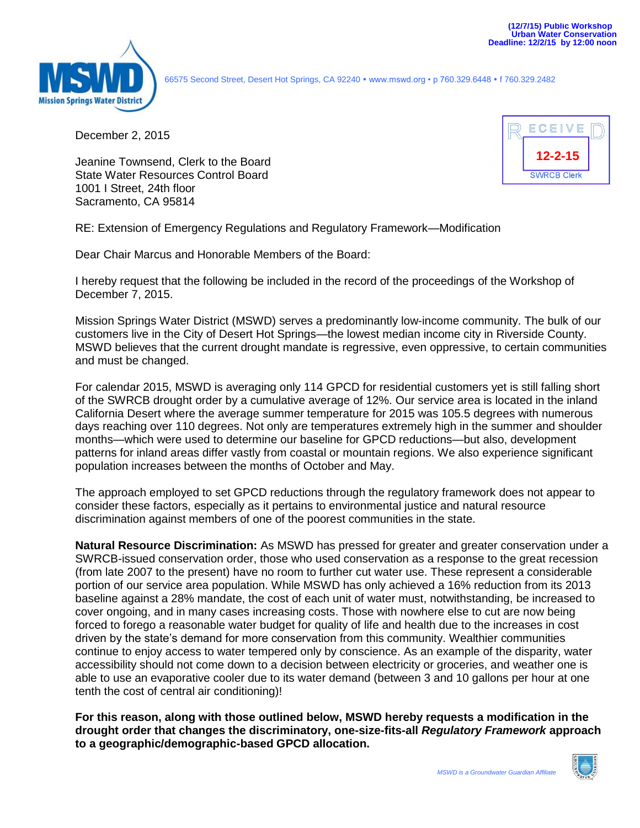

66575 Second Street, Desert Hot Springs, CA 92240 www.mswd.org • p 760.329.6448 f 760.329.2482

December 2, 2015

Jeanine Townsend, Clerk to the Board State Water Resources Control Board 1001 I Street, 24th floor Sacramento, CA 95814



RE: Extension of Emergency Regulations and Regulatory Framework—Modification

Dear Chair Marcus and Honorable Members of the Board:

I hereby request that the following be included in the record of the proceedings of the Workshop of December 7, 2015.

Mission Springs Water District (MSWD) serves a predominantly low-income community. The bulk of our customers live in the City of Desert Hot Springs—the lowest median income city in Riverside County. MSWD believes that the current drought mandate is regressive, even oppressive, to certain communities and must be changed.

For calendar 2015, MSWD is averaging only 114 GPCD for residential customers yet is still falling short of the SWRCB drought order by a cumulative average of 12%. Our service area is located in the inland California Desert where the average summer temperature for 2015 was 105.5 degrees with numerous days reaching over 110 degrees. Not only are temperatures extremely high in the summer and shoulder months—which were used to determine our baseline for GPCD reductions—but also, development patterns for inland areas differ vastly from coastal or mountain regions. We also experience significant population increases between the months of October and May.

The approach employed to set GPCD reductions through the regulatory framework does not appear to consider these factors, especially as it pertains to environmental justice and natural resource discrimination against members of one of the poorest communities in the state.

**Natural Resource Discrimination:** As MSWD has pressed for greater and greater conservation under a SWRCB-issued conservation order, those who used conservation as a response to the great recession (from late 2007 to the present) have no room to further cut water use. These represent a considerable portion of our service area population. While MSWD has only achieved a 16% reduction from its 2013 baseline against a 28% mandate, the cost of each unit of water must, notwithstanding, be increased to cover ongoing, and in many cases increasing costs. Those with nowhere else to cut are now being forced to forego a reasonable water budget for quality of life and health due to the increases in cost driven by the state's demand for more conservation from this community. Wealthier communities continue to enjoy access to water tempered only by conscience. As an example of the disparity, water accessibility should not come down to a decision between electricity or groceries, and weather one is able to use an evaporative cooler due to its water demand (between 3 and 10 gallons per hour at one tenth the cost of central air conditioning)!

**For this reason, along with those outlined below, MSWD hereby requests a modification in the drought order that changes the discriminatory, one-size-fits-all** *Regulatory Framework* **approach to a geographic/demographic-based GPCD allocation.**

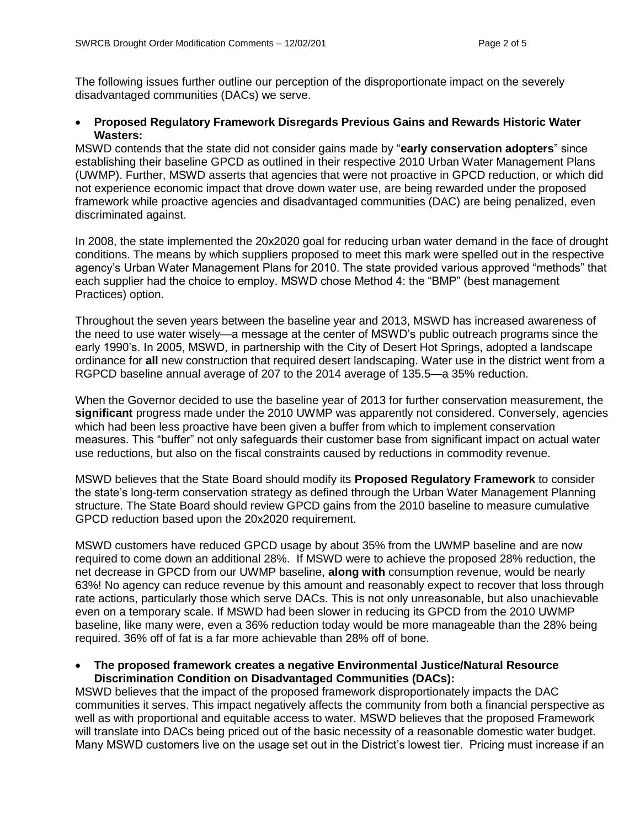The following issues further outline our perception of the disproportionate impact on the severely disadvantaged communities (DACs) we serve.

#### **Proposed Regulatory Framework Disregards Previous Gains and Rewards Historic Water Wasters:**

MSWD contends that the state did not consider gains made by "**early conservation adopters**" since establishing their baseline GPCD as outlined in their respective 2010 Urban Water Management Plans (UWMP). Further, MSWD asserts that agencies that were not proactive in GPCD reduction, or which did not experience economic impact that drove down water use, are being rewarded under the proposed framework while proactive agencies and disadvantaged communities (DAC) are being penalized, even discriminated against.

In 2008, the state implemented the 20x2020 goal for reducing urban water demand in the face of drought conditions. The means by which suppliers proposed to meet this mark were spelled out in the respective agency's Urban Water Management Plans for 2010. The state provided various approved "methods" that each supplier had the choice to employ. MSWD chose Method 4: the "BMP" (best management Practices) option.

Throughout the seven years between the baseline year and 2013, MSWD has increased awareness of the need to use water wisely—a message at the center of MSWD's public outreach programs since the early 1990's. In 2005, MSWD, in partnership with the City of Desert Hot Springs, adopted a landscape ordinance for **all** new construction that required desert landscaping. Water use in the district went from a RGPCD baseline annual average of 207 to the 2014 average of 135.5—a 35% reduction.

When the Governor decided to use the baseline year of 2013 for further conservation measurement, the **significant** progress made under the 2010 UWMP was apparently not considered. Conversely, agencies which had been less proactive have been given a buffer from which to implement conservation measures. This "buffer" not only safeguards their customer base from significant impact on actual water use reductions, but also on the fiscal constraints caused by reductions in commodity revenue.

MSWD believes that the State Board should modify its **Proposed Regulatory Framework** to consider the state's long-term conservation strategy as defined through the Urban Water Management Planning structure. The State Board should review GPCD gains from the 2010 baseline to measure cumulative GPCD reduction based upon the 20x2020 requirement.

MSWD customers have reduced GPCD usage by about 35% from the UWMP baseline and are now required to come down an additional 28%. If MSWD were to achieve the proposed 28% reduction, the net decrease in GPCD from our UWMP baseline, **along with** consumption revenue, would be nearly 63%! No agency can reduce revenue by this amount and reasonably expect to recover that loss through rate actions, particularly those which serve DACs. This is not only unreasonable, but also unachievable even on a temporary scale. If MSWD had been slower in reducing its GPCD from the 2010 UWMP baseline, like many were, even a 36% reduction today would be more manageable than the 28% being required. 36% off of fat is a far more achievable than 28% off of bone.

#### **The proposed framework creates a negative Environmental Justice/Natural Resource Discrimination Condition on Disadvantaged Communities (DACs):**

MSWD believes that the impact of the proposed framework disproportionately impacts the DAC communities it serves. This impact negatively affects the community from both a financial perspective as well as with proportional and equitable access to water. MSWD believes that the proposed Framework will translate into DACs being priced out of the basic necessity of a reasonable domestic water budget. Many MSWD customers live on the usage set out in the District's lowest tier. Pricing must increase if an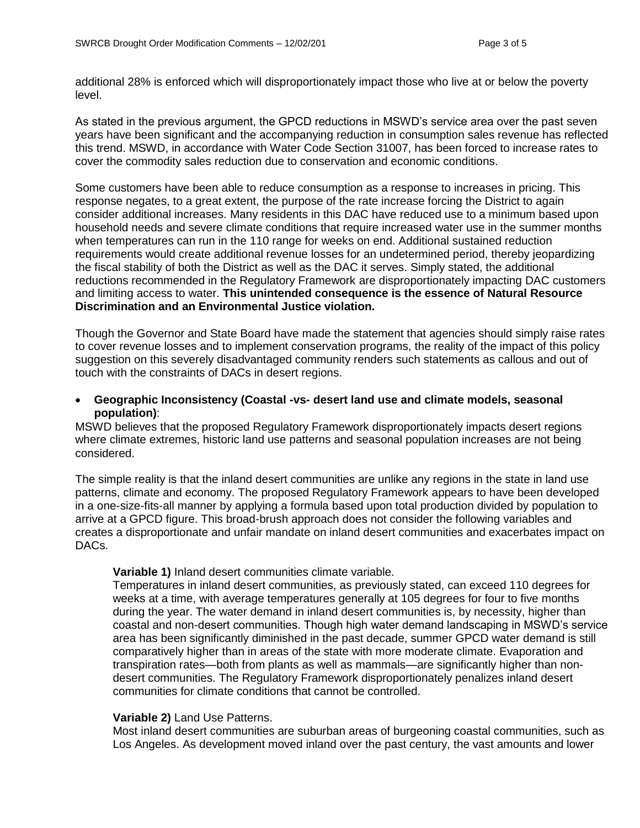additional 28% is enforced which will disproportionately impact those who live at or below the poverty level.

As stated in the previous argument, the GPCD reductions in MSWD's service area over the past seven years have been significant and the accompanying reduction in consumption sales revenue has reflected this trend. MSWD, in accordance with Water Code Section 31007, has been forced to increase rates to cover the commodity sales reduction due to conservation and economic conditions.

Some customers have been able to reduce consumption as a response to increases in pricing. This response negates, to a great extent, the purpose of the rate increase forcing the District to again consider additional increases. Many residents in this DAC have reduced use to a minimum based upon household needs and severe climate conditions that require increased water use in the summer months when temperatures can run in the 110 range for weeks on end. Additional sustained reduction requirements would create additional revenue losses for an undetermined period, thereby jeopardizing the fiscal stability of both the District as well as the DAC it serves. Simply stated, the additional reductions recommended in the Regulatory Framework are disproportionately impacting DAC customers and limiting access to water. **This unintended consequence is the essence of Natural Resource Discrimination and an Environmental Justice violation.** 

Though the Governor and State Board have made the statement that agencies should simply raise rates to cover revenue losses and to implement conservation programs, the reality of the impact of this policy suggestion on this severely disadvantaged community renders such statements as callous and out of touch with the constraints of DACs in desert regions.

# **Geographic Inconsistency (Coastal -vs- desert land use and climate models, seasonal population)**:

MSWD believes that the proposed Regulatory Framework disproportionately impacts desert regions where climate extremes, historic land use patterns and seasonal population increases are not being considered.

The simple reality is that the inland desert communities are unlike any regions in the state in land use patterns, climate and economy. The proposed Regulatory Framework appears to have been developed in a one-size-fits-all manner by applying a formula based upon total production divided by population to arrive at a GPCD figure. This broad-brush approach does not consider the following variables and creates a disproportionate and unfair mandate on inland desert communities and exacerbates impact on DACs.

# **Variable 1)** Inland desert communities climate variable.

Temperatures in inland desert communities, as previously stated, can exceed 110 degrees for weeks at a time, with average temperatures generally at 105 degrees for four to five months during the year. The water demand in inland desert communities is, by necessity, higher than coastal and non-desert communities. Though high water demand landscaping in MSWD's service area has been significantly diminished in the past decade, summer GPCD water demand is still comparatively higher than in areas of the state with more moderate climate. Evaporation and transpiration rates—both from plants as well as mammals—are significantly higher than nondesert communities. The Regulatory Framework disproportionately penalizes inland desert communities for climate conditions that cannot be controlled.

# **Variable 2)** Land Use Patterns.

Most inland desert communities are suburban areas of burgeoning coastal communities, such as Los Angeles. As development moved inland over the past century, the vast amounts and lower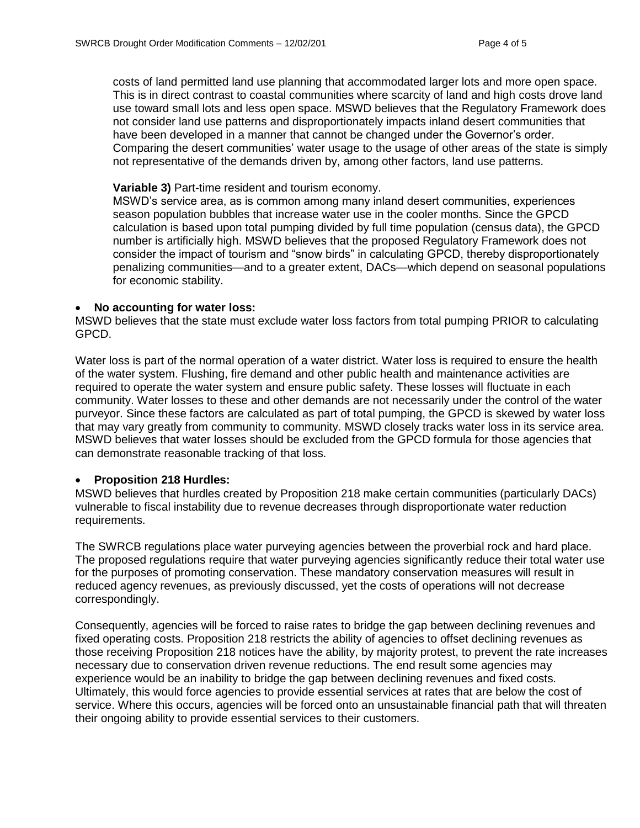costs of land permitted land use planning that accommodated larger lots and more open space. This is in direct contrast to coastal communities where scarcity of land and high costs drove land use toward small lots and less open space. MSWD believes that the Regulatory Framework does not consider land use patterns and disproportionately impacts inland desert communities that have been developed in a manner that cannot be changed under the Governor's order. Comparing the desert communities' water usage to the usage of other areas of the state is simply not representative of the demands driven by, among other factors, land use patterns.

#### **Variable 3)** Part-time resident and tourism economy.

MSWD's service area, as is common among many inland desert communities, experiences season population bubbles that increase water use in the cooler months. Since the GPCD calculation is based upon total pumping divided by full time population (census data), the GPCD number is artificially high. MSWD believes that the proposed Regulatory Framework does not consider the impact of tourism and "snow birds" in calculating GPCD, thereby disproportionately penalizing communities—and to a greater extent, DACs—which depend on seasonal populations for economic stability.

# **No accounting for water loss:**

MSWD believes that the state must exclude water loss factors from total pumping PRIOR to calculating GPCD.

Water loss is part of the normal operation of a water district. Water loss is required to ensure the health of the water system. Flushing, fire demand and other public health and maintenance activities are required to operate the water system and ensure public safety. These losses will fluctuate in each community. Water losses to these and other demands are not necessarily under the control of the water purveyor. Since these factors are calculated as part of total pumping, the GPCD is skewed by water loss that may vary greatly from community to community. MSWD closely tracks water loss in its service area. MSWD believes that water losses should be excluded from the GPCD formula for those agencies that can demonstrate reasonable tracking of that loss.

# **Proposition 218 Hurdles:**

MSWD believes that hurdles created by Proposition 218 make certain communities (particularly DACs) vulnerable to fiscal instability due to revenue decreases through disproportionate water reduction requirements.

The SWRCB regulations place water purveying agencies between the proverbial rock and hard place. The proposed regulations require that water purveying agencies significantly reduce their total water use for the purposes of promoting conservation. These mandatory conservation measures will result in reduced agency revenues, as previously discussed, yet the costs of operations will not decrease correspondingly.

Consequently, agencies will be forced to raise rates to bridge the gap between declining revenues and fixed operating costs. Proposition 218 restricts the ability of agencies to offset declining revenues as those receiving Proposition 218 notices have the ability, by majority protest, to prevent the rate increases necessary due to conservation driven revenue reductions. The end result some agencies may experience would be an inability to bridge the gap between declining revenues and fixed costs. Ultimately, this would force agencies to provide essential services at rates that are below the cost of service. Where this occurs, agencies will be forced onto an unsustainable financial path that will threaten their ongoing ability to provide essential services to their customers.